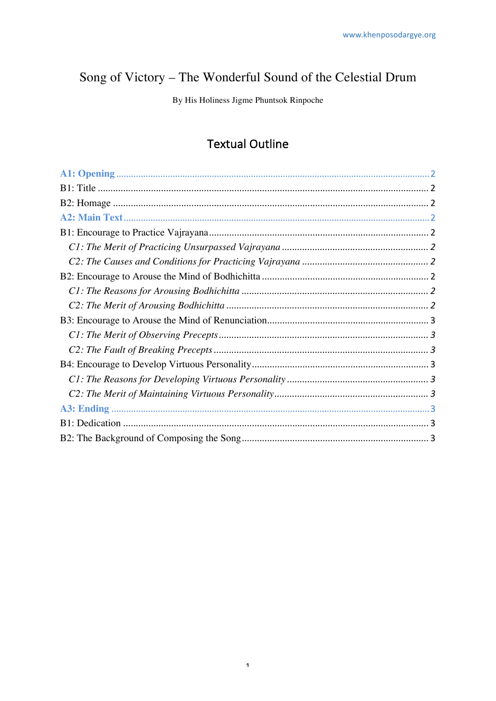# Song of Victory - The Wonderful Sound of the Celestial Drum

By His Holiness Jigme Phuntsok Rinpoche

# **Textual Outline**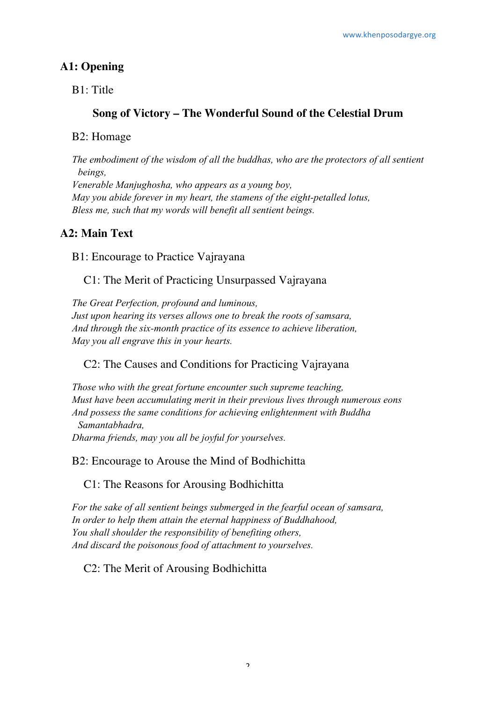#### **A1: Opening**

B1: Title

#### **Song of Victory – The Wonderful Sound of the Celestial Drum**

#### B2: Homage

*The embodiment of the wisdom of all the buddhas, who are the protectors of all sentient beings, Venerable Manjughosha, who appears as a young boy, May you abide forever in my heart, the stamens of the eight-petalled lotus, Bless me, such that my words will benefit all sentient beings.*

## **A2: Main Text**

B1: Encourage to Practice Vajrayana

C1: The Merit of Practicing Unsurpassed Vajrayana

*The Great Perfection, profound and luminous, Just upon hearing its verses allows one to break the roots of samsara, And through the six-month practice of its essence to achieve liberation, May you all engrave this in your hearts.*

#### C2: The Causes and Conditions for Practicing Vajrayana

*Those who with the great fortune encounter such supreme teaching, Must have been accumulating merit in their previous lives through numerous eons And possess the same conditions for achieving enlightenment with Buddha Samantabhadra, Dharma friends, may you all be joyful for yourselves.*

B2: Encourage to Arouse the Mind of Bodhichitta

C1: The Reasons for Arousing Bodhichitta

*For the sake of all sentient beings submerged in the fearful ocean of samsara, In order to help them attain the eternal happiness of Buddhahood, You shall shoulder the responsibility of benefiting others, And discard the poisonous food of attachment to yourselves.*

C2: The Merit of Arousing Bodhichitta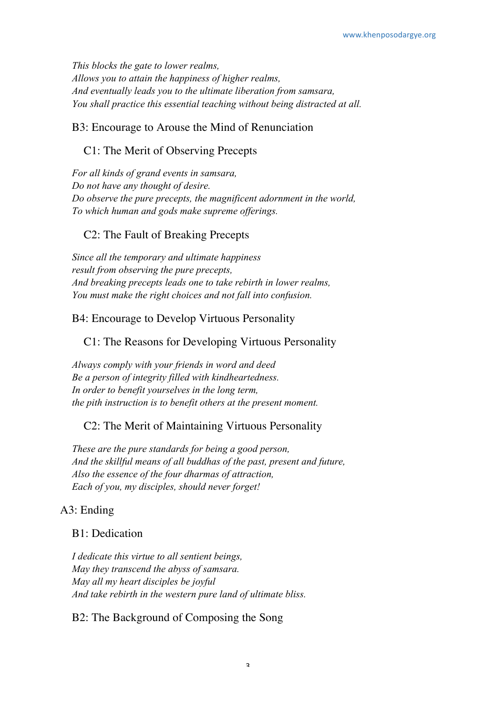*This blocks the gate to lower realms, Allows you to attain the happiness of higher realms, And eventually leads you to the ultimate liberation from samsara, You shall practice this essential teaching without being distracted at all.*

### B3: Encourage to Arouse the Mind of Renunciation

## C1: The Merit of Observing Precepts

*For all kinds of grand events in samsara, Do not have any thought of desire. Do observe the pure precepts, the magnificent adornment in the world, To which human and gods make supreme offerings.*

#### C2: The Fault of Breaking Precepts

*Since all the temporary and ultimate happiness result from observing the pure precepts, And breaking precepts leads one to take rebirth in lower realms, You must make the right choices and not fall into confusion.*

## B4: Encourage to Develop Virtuous Personality

## C1: The Reasons for Developing Virtuous Personality

*Always comply with your friends in word and deed Be a person of integrity filled with kindheartedness. In order to benefit yourselves in the long term, the pith instruction is to benefit others at the present moment.*

#### C2: The Merit of Maintaining Virtuous Personality

*These are the pure standards for being a good person, And the skillful means of all buddhas of the past, present and future, Also the essence of the four dharmas of attraction, Each of you, my disciples, should never forget!*

# A3: Ending

#### B1: Dedication

*I dedicate this virtue to all sentient beings, May they transcend the abyss of samsara. May all my heart disciples be joyful And take rebirth in the western pure land of ultimate bliss.*

# B2: The Background of Composing the Song